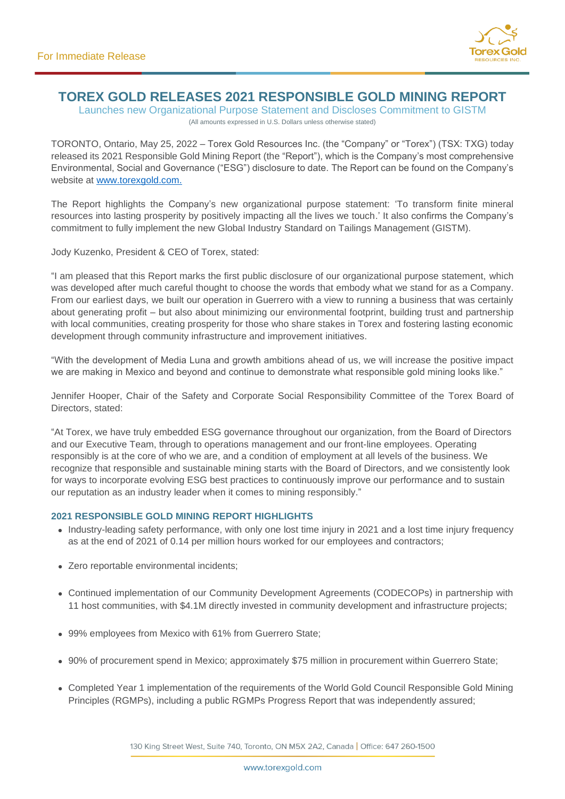

# **TOREX GOLD RELEASES 2021 RESPONSIBLE GOLD MINING REPORT**

Launches new Organizational Purpose Statement and Discloses Commitment to GISTM (All amounts expressed in U.S. Dollars unless otherwise stated)

TORONTO, Ontario, May 25, 2022 – Torex Gold Resources Inc. (the "Company" or "Torex") (TSX: TXG) today released its 2021 Responsible Gold Mining Report (the "Report"), which is the Company's most comprehensive Environmental, Social and Governance ("ESG") disclosure to date. The Report can be found on the Company's website at [www.torexgold.com.](http://www.torexgold.com/)

The Report highlights the Company's new organizational purpose statement: 'To transform finite mineral resources into lasting prosperity by positively impacting all the lives we touch.' It also confirms the Company's commitment to fully implement the new Global Industry Standard on Tailings Management (GISTM).

Jody Kuzenko, President & CEO of Torex, stated:

"I am pleased that this Report marks the first public disclosure of our organizational purpose statement, which was developed after much careful thought to choose the words that embody what we stand for as a Company. From our earliest days, we built our operation in Guerrero with a view to running a business that was certainly about generating profit – but also about minimizing our environmental footprint, building trust and partnership with local communities, creating prosperity for those who share stakes in Torex and fostering lasting economic development through community infrastructure and improvement initiatives.

"With the development of Media Luna and growth ambitions ahead of us, we will increase the positive impact we are making in Mexico and beyond and continue to demonstrate what responsible gold mining looks like."

Jennifer Hooper, Chair of the Safety and Corporate Social Responsibility Committee of the Torex Board of Directors, stated:

"At Torex, we have truly embedded ESG governance throughout our organization, from the Board of Directors and our Executive Team, through to operations management and our front-line employees. Operating responsibly is at the core of who we are, and a condition of employment at all levels of the business. We recognize that responsible and sustainable mining starts with the Board of Directors, and we consistently look for ways to incorporate evolving ESG best practices to continuously improve our performance and to sustain our reputation as an industry leader when it comes to mining responsibly."

## **2021 RESPONSIBLE GOLD MINING REPORT HIGHLIGHTS**

- Industry-leading safety performance, with only one lost time injury in 2021 and a lost time injury frequency as at the end of 2021 of 0.14 per million hours worked for our employees and contractors;
- Zero reportable environmental incidents;
- Continued implementation of our Community Development Agreements (CODECOPs) in partnership with 11 host communities, with \$4.1M directly invested in community development and infrastructure projects;
- 99% employees from Mexico with 61% from Guerrero State;
- 90% of procurement spend in Mexico; approximately \$75 million in procurement within Guerrero State;
- Completed Year 1 implementation of the requirements of the World Gold Council Responsible Gold Mining Principles (RGMPs), including a public RGMPs Progress Report that was independently assured;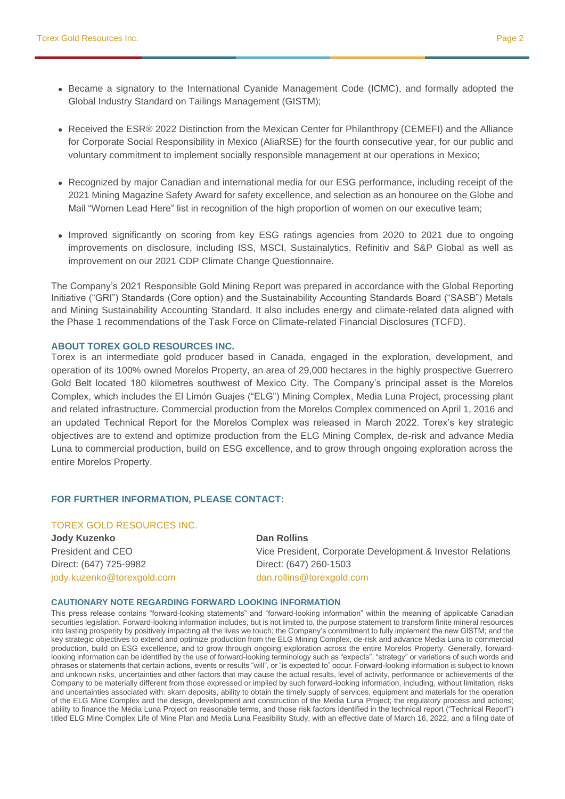- Became a signatory to the International Cyanide Management Code (ICMC), and formally adopted the Global Industry Standard on Tailings Management (GISTM);
- Received the ESR® 2022 Distinction from the Mexican Center for Philanthropy (CEMEFI) and the Alliance for Corporate Social Responsibility in Mexico (AliaRSE) for the fourth consecutive year, for our public and voluntary commitment to implement socially responsible management at our operations in Mexico;
- Recognized by major Canadian and international media for our ESG performance, including receipt of the 2021 Mining Magazine Safety Award for safety excellence, and selection as an honouree on the Globe and Mail "Women Lead Here" list in recognition of the high proportion of women on our executive team;
- Improved significantly on scoring from key ESG ratings agencies from 2020 to 2021 due to ongoing improvements on disclosure, including ISS, MSCI, Sustainalytics, Refinitiv and S&P Global as well as improvement on our 2021 CDP Climate Change Questionnaire.

The Company's 2021 Responsible Gold Mining Report was prepared in accordance with the Global Reporting Initiative ("GRI") Standards (Core option) and the Sustainability Accounting Standards Board ("SASB") Metals and Mining Sustainability Accounting Standard. It also includes energy and climate-related data aligned with the Phase 1 recommendations of the Task Force on Climate-related Financial Disclosures (TCFD).

#### **ABOUT TOREX GOLD RESOURCES INC.**

Torex is an intermediate gold producer based in Canada, engaged in the exploration, development, and operation of its 100% owned Morelos Property, an area of 29,000 hectares in the highly prospective Guerrero Gold Belt located 180 kilometres southwest of Mexico City. The Company's principal asset is the Morelos Complex, which includes the El Limón Guajes ("ELG") Mining Complex, Media Luna Project, processing plant and related infrastructure. Commercial production from the Morelos Complex commenced on April 1, 2016 and an updated Technical Report for the Morelos Complex was released in March 2022. Torex's key strategic objectives are to extend and optimize production from the ELG Mining Complex, de-risk and advance Media Luna to commercial production, build on ESG excellence, and to grow through ongoing exploration across the entire Morelos Property.

## **FOR FURTHER INFORMATION, PLEASE CONTACT:**

## TOREX GOLD RESOURCES INC.

**Jody Kuzenko Dan Rollins** Direct: (647) 725-9982 Direct: (647) 260-1503 jody.kuzenko@torexgold.com dan.rollins@torexgold.com

President and CEO Vice President, Corporate Development & Investor Relations

#### **CAUTIONARY NOTE REGARDING FORWARD LOOKING INFORMATION**

This press release contains "forward-looking statements" and "forward-looking information" within the meaning of applicable Canadian securities legislation. Forward-looking information includes, but is not limited to, the purpose statement to transform finite mineral resources into lasting prosperity by positively impacting all the lives we touch; the Company's commitment to fully implement the new GISTM; and the key strategic objectives to extend and optimize production from the ELG Mining Complex, de-risk and advance Media Luna to commercial production, build on ESG excellence, and to grow through ongoing exploration across the entire Morelos Property. Generally, forwardlooking information can be identified by the use of forward-looking terminology such as "expects", "strategy" or variations of such words and phrases or statements that certain actions, events or results "will", or "is expected to" occur. Forward-looking information is subject to known and unknown risks, uncertainties and other factors that may cause the actual results, level of activity, performance or achievements of the Company to be materially different from those expressed or implied by such forward-looking information, including, without limitation, risks and uncertainties associated with: skarn deposits, ability to obtain the timely supply of services, equipment and materials for the operation of the ELG Mine Complex and the design, development and construction of the Media Luna Project; the regulatory process and actions; ability to finance the Media Luna Project on reasonable terms, and those risk factors identified in the technical report ("Technical Report") titled ELG Mine Complex Life of Mine Plan and Media Luna Feasibility Study, with an effective date of March 16, 2022, and a filing date of